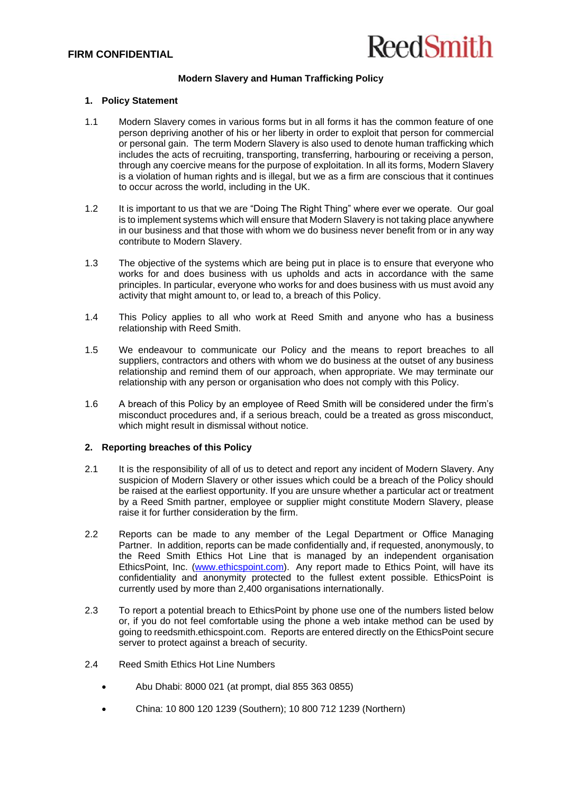

## **Modern Slavery and Human Trafficking Policy**

## **1. Policy Statement**

- 1.1 Modern Slavery comes in various forms but in all forms it has the common feature of one person depriving another of his or her liberty in order to exploit that person for commercial or personal gain. The term Modern Slavery is also used to denote human trafficking which includes the acts of recruiting, transporting, transferring, harbouring or receiving a person, through any coercive means for the purpose of exploitation. In all its forms, Modern Slavery is a violation of human rights and is illegal, but we as a firm are conscious that it continues to occur across the world, including in the UK.
- 1.2 It is important to us that we are "Doing The Right Thing" where ever we operate. Our goal is to implement systems which will ensure that Modern Slavery is not taking place anywhere in our business and that those with whom we do business never benefit from or in any way contribute to Modern Slavery.
- 1.3 The objective of the systems which are being put in place is to ensure that everyone who works for and does business with us upholds and acts in accordance with the same principles. In particular, everyone who works for and does business with us must avoid any activity that might amount to, or lead to, a breach of this Policy.
- 1.4 This Policy applies to all who work at Reed Smith and anyone who has a business relationship with Reed Smith.
- 1.5 We endeavour to communicate our Policy and the means to report breaches to all suppliers, contractors and others with whom we do business at the outset of any business relationship and remind them of our approach, when appropriate. We may terminate our relationship with any person or organisation who does not comply with this Policy.
- 1.6 A breach of this Policy by an employee of Reed Smith will be considered under the firm's misconduct procedures and, if a serious breach, could be a treated as gross misconduct, which might result in dismissal without notice.

## **2. Reporting breaches of this Policy**

- 2.1 It is the responsibility of all of us to detect and report any incident of Modern Slavery. Any suspicion of Modern Slavery or other issues which could be a breach of the Policy should be raised at the earliest opportunity. If you are unsure whether a particular act or treatment by a Reed Smith partner, employee or supplier might constitute Modern Slavery, please raise it for further consideration by the firm.
- 2.2 Reports can be made to any member of the Legal Department or Office Managing Partner. In addition, reports can be made confidentially and, if requested, anonymously, to the Reed Smith Ethics Hot Line that is managed by an independent organisation EthicsPoint, Inc. [\(www.ethicspoint.com\)](http://www.ethicspoint.com/). Any report made to Ethics Point, will have its confidentiality and anonymity protected to the fullest extent possible. EthicsPoint is currently used by more than 2,400 organisations internationally.
- 2.3 To report a potential breach to EthicsPoint by phone use one of the numbers listed below or, if you do not feel comfortable using the phone a web intake method can be used by going to reedsmith.ethicspoint.com. Reports are entered directly on the EthicsPoint secure server to protect against a breach of security.
- 2.4 Reed Smith Ethics Hot Line Numbers
	- Abu Dhabi: 8000 021 (at prompt, dial 855 363 0855)
	- China: 10 800 120 1239 (Southern); 10 800 712 1239 (Northern)